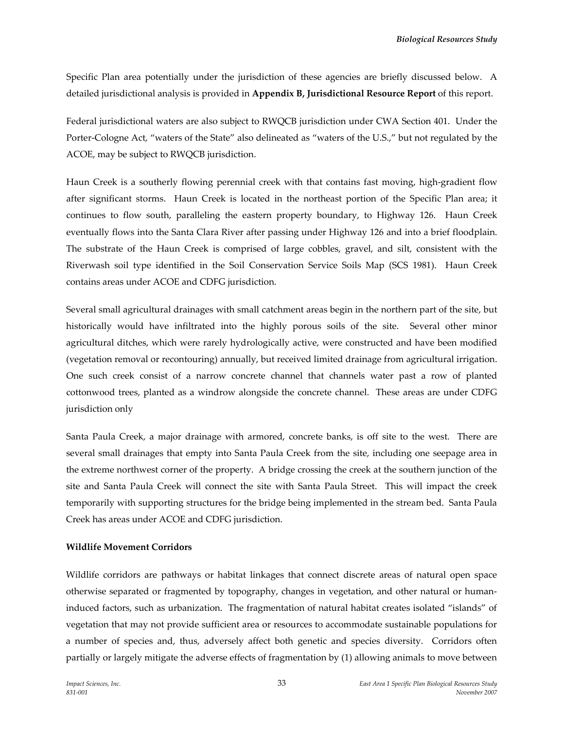Specific Plan area potentially under the jurisdiction of these agencies are briefly discussed below. A detailed jurisdictional analysis is provided in **Appendix B, Jurisdictional Resource Report** of this report.

Federal jurisdictional waters are also subject to RWQCB jurisdiction under CWA Section 401. Under the Porter‐Cologne Act, "waters of the State" also delineated as "waters of the U.S.," but not regulated by the ACOE, may be subject to RWQCB jurisdiction.

Haun Creek is a southerly flowing perennial creek with that contains fast moving, high‐gradient flow after significant storms. Haun Creek is located in the northeast portion of the Specific Plan area; it continues to flow south, paralleling the eastern property boundary, to Highway 126. Haun Creek eventually flows into the Santa Clara River after passing under Highway 126 and into a brief floodplain. The substrate of the Haun Creek is comprised of large cobbles, gravel, and silt, consistent with the Riverwash soil type identified in the Soil Conservation Service Soils Map (SCS 1981). Haun Creek contains areas under ACOE and CDFG jurisdiction.

Several small agricultural drainages with small catchment areas begin in the northern part of the site, but historically would have infiltrated into the highly porous soils of the site. Several other minor agricultural ditches, which were rarely hydrologically active, were constructed and have been modified (vegetation removal or recontouring) annually, but received limited drainage from agricultural irrigation. One such creek consist of a narrow concrete channel that channels water past a row of planted cottonwood trees, planted as a windrow alongside the concrete channel. These areas are under CDFG jurisdiction only

Santa Paula Creek, a major drainage with armored, concrete banks, is off site to the west. There are several small drainages that empty into Santa Paula Creek from the site, including one seepage area in the extreme northwest corner of the property. A bridge crossing the creek at the southern junction of the site and Santa Paula Creek will connect the site with Santa Paula Street. This will impact the creek temporarily with supporting structures for the bridge being implemented in the stream bed. Santa Paula Creek has areas under ACOE and CDFG jurisdiction.

### **Wildlife Movement Corridors**

Wildlife corridors are pathways or habitat linkages that connect discrete areas of natural open space otherwise separated or fragmented by topography, changes in vegetation, and other natural or human‐ induced factors, such as urbanization. The fragmentation of natural habitat creates isolated "islands" of vegetation that may not provide sufficient area or resources to accommodate sustainable populations for a number of species and, thus, adversely affect both genetic and species diversity. Corridors often partially or largely mitigate the adverse effects of fragmentation by (1) allowing animals to move between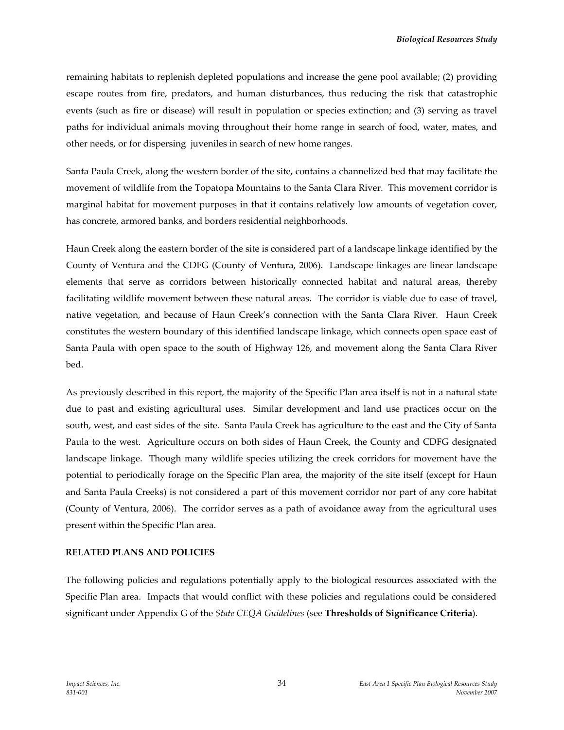remaining habitats to replenish depleted populations and increase the gene pool available; (2) providing escape routes from fire, predators, and human disturbances, thus reducing the risk that catastrophic events (such as fire or disease) will result in population or species extinction; and (3) serving as travel paths for individual animals moving throughout their home range in search of food, water, mates, and other needs, or for dispersing juveniles in search of new home ranges.

Santa Paula Creek, along the western border of the site, contains a channelized bed that may facilitate the movement of wildlife from the Topatopa Mountains to the Santa Clara River. This movement corridor is marginal habitat for movement purposes in that it contains relatively low amounts of vegetation cover, has concrete, armored banks, and borders residential neighborhoods.

Haun Creek along the eastern border of the site is considered part of a landscape linkage identified by the County of Ventura and the CDFG (County of Ventura, 2006). Landscape linkages are linear landscape elements that serve as corridors between historically connected habitat and natural areas, thereby facilitating wildlife movement between these natural areas. The corridor is viable due to ease of travel, native vegetation, and because of Haun Creek's connection with the Santa Clara River. Haun Creek constitutes the western boundary of this identified landscape linkage, which connects open space east of Santa Paula with open space to the south of Highway 126, and movement along the Santa Clara River bed.

As previously described in this report, the majority of the Specific Plan area itself is not in a natural state due to past and existing agricultural uses. Similar development and land use practices occur on the south, west, and east sides of the site. Santa Paula Creek has agriculture to the east and the City of Santa Paula to the west. Agriculture occurs on both sides of Haun Creek, the County and CDFG designated landscape linkage. Though many wildlife species utilizing the creek corridors for movement have the potential to periodically forage on the Specific Plan area, the majority of the site itself (except for Haun and Santa Paula Creeks) is not considered a part of this movement corridor nor part of any core habitat (County of Ventura, 2006). The corridor serves as a path of avoidance away from the agricultural uses present within the Specific Plan area.

### **RELATED PLANS AND POLICIES**

The following policies and regulations potentially apply to the biological resources associated with the Specific Plan area. Impacts that would conflict with these policies and regulations could be considered significant under Appendix G of the *State CEQA Guidelines* (see **Thresholds of Significance Criteria**).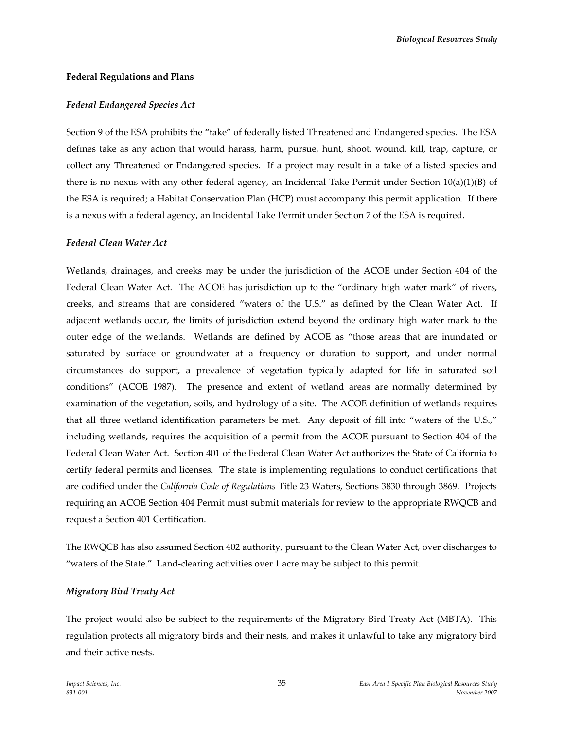#### **Federal Regulations and Plans**

#### *Federal Endangered Species Act*

Section 9 of the ESA prohibits the "take" of federally listed Threatened and Endangered species. The ESA defines take as any action that would harass, harm, pursue, hunt, shoot, wound, kill, trap, capture, or collect any Threatened or Endangered species. If a project may result in a take of a listed species and there is no nexus with any other federal agency, an Incidental Take Permit under Section  $10(a)(1)(B)$  of the ESA is required; a Habitat Conservation Plan (HCP) must accompany this permit application. If there is a nexus with a federal agency, an Incidental Take Permit under Section 7 of the ESA is required.

#### *Federal Clean Water Act*

Wetlands, drainages, and creeks may be under the jurisdiction of the ACOE under Section 404 of the Federal Clean Water Act. The ACOE has jurisdiction up to the "ordinary high water mark" of rivers, creeks, and streams that are considered "waters of the U.S." as defined by the Clean Water Act. If adjacent wetlands occur, the limits of jurisdiction extend beyond the ordinary high water mark to the outer edge of the wetlands. Wetlands are defined by ACOE as "those areas that are inundated or saturated by surface or groundwater at a frequency or duration to support, and under normal circumstances do support, a prevalence of vegetation typically adapted for life in saturated soil conditions" (ACOE 1987). The presence and extent of wetland areas are normally determined by examination of the vegetation, soils, and hydrology of a site. The ACOE definition of wetlands requires that all three wetland identification parameters be met. Any deposit of fill into "waters of the U.S.," including wetlands, requires the acquisition of a permit from the ACOE pursuant to Section 404 of the Federal Clean Water Act. Section 401 of the Federal Clean Water Act authorizes the State of California to certify federal permits and licenses. The state is implementing regulations to conduct certifications that are codified under the *California Code of Regulations* Title 23 Waters, Sections 3830 through 3869. Projects requiring an ACOE Section 404 Permit must submit materials for review to the appropriate RWQCB and request a Section 401 Certification.

The RWQCB has also assumed Section 402 authority, pursuant to the Clean Water Act, over discharges to "waters of the State." Land‐clearing activities over 1 acre may be subject to this permit.

### *Migratory Bird Treaty Act*

The project would also be subject to the requirements of the Migratory Bird Treaty Act (MBTA). This regulation protects all migratory birds and their nests, and makes it unlawful to take any migratory bird and their active nests.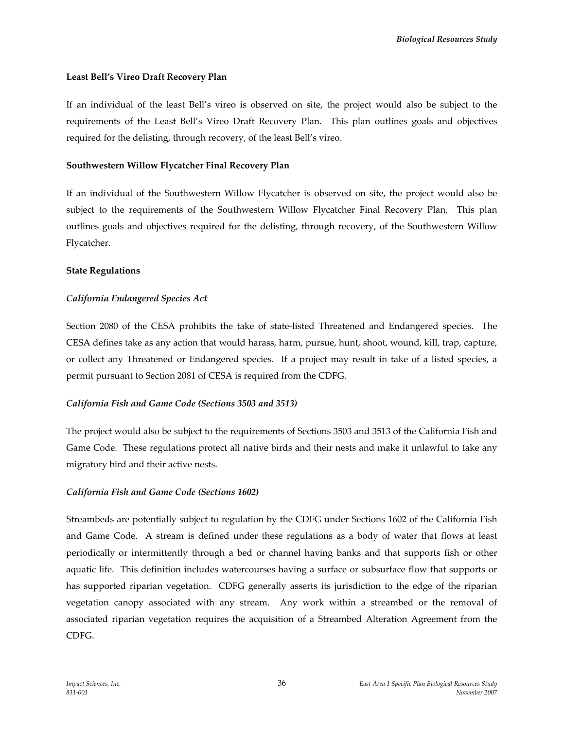### **Least Bell's Vireo Draft Recovery Plan**

If an individual of the least Bell's vireo is observed on site, the project would also be subject to the requirements of the Least Bell's Vireo Draft Recovery Plan. This plan outlines goals and objectives required for the delisting, through recovery, of the least Bell's vireo.

### **Southwestern Willow Flycatcher Final Recovery Plan**

If an individual of the Southwestern Willow Flycatcher is observed on site, the project would also be subject to the requirements of the Southwestern Willow Flycatcher Final Recovery Plan. This plan outlines goals and objectives required for the delisting, through recovery, of the Southwestern Willow Flycatcher.

### **State Regulations**

# *California Endangered Species Act*

Section 2080 of the CESA prohibits the take of state-listed Threatened and Endangered species. The CESA defines take as any action that would harass, harm, pursue, hunt, shoot, wound, kill, trap, capture, or collect any Threatened or Endangered species. If a project may result in take of a listed species, a permit pursuant to Section 2081 of CESA is required from the CDFG.

### *California Fish and Game Code (Sections 3503 and 3513)*

The project would also be subject to the requirements of Sections 3503 and 3513 of the California Fish and Game Code. These regulations protect all native birds and their nests and make it unlawful to take any migratory bird and their active nests.

# *California Fish and Game Code (Sections 1602)*

Streambeds are potentially subject to regulation by the CDFG under Sections 1602 of the California Fish and Game Code. A stream is defined under these regulations as a body of water that flows at least periodically or intermittently through a bed or channel having banks and that supports fish or other aquatic life. This definition includes watercourses having a surface or subsurface flow that supports or has supported riparian vegetation. CDFG generally asserts its jurisdiction to the edge of the riparian vegetation canopy associated with any stream. Any work within a streambed or the removal of associated riparian vegetation requires the acquisition of a Streambed Alteration Agreement from the CDFG.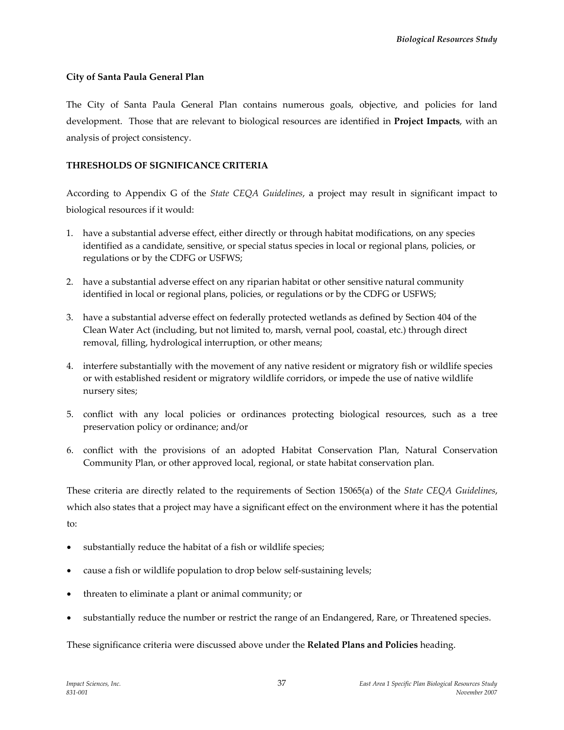### **City of Santa Paula General Plan**

The City of Santa Paula General Plan contains numerous goals, objective, and policies for land development. Those that are relevant to biological resources are identified in **Project Impacts**, with an analysis of project consistency.

### **THRESHOLDS OF SIGNIFICANCE CRITERIA**

According to Appendix G of the *State CEQA Guidelines*, a project may result in significant impact to biological resources if it would:

- 1. have a substantial adverse effect, either directly or through habitat modifications, on any species identified as a candidate, sensitive, or special status species in local or regional plans, policies, or regulations or by the CDFG or USFWS;
- 2. have a substantial adverse effect on any riparian habitat or other sensitive natural community identified in local or regional plans, policies, or regulations or by the CDFG or USFWS;
- 3. have a substantial adverse effect on federally protected wetlands as defined by Section 404 of the Clean Water Act (including, but not limited to, marsh, vernal pool, coastal, etc.) through direct removal, filling, hydrological interruption, or other means;
- 4. interfere substantially with the movement of any native resident or migratory fish or wildlife species or with established resident or migratory wildlife corridors, or impede the use of native wildlife nursery sites;
- 5. conflict with any local policies or ordinances protecting biological resources, such as a tree preservation policy or ordinance; and/or
- 6. conflict with the provisions of an adopted Habitat Conservation Plan, Natural Conservation Community Plan, or other approved local, regional, or state habitat conservation plan.

These criteria are directly related to the requirements of Section 15065(a) of the *State CEQA Guidelines*, which also states that a project may have a significant effect on the environment where it has the potential to:

- substantially reduce the habitat of a fish or wildlife species;
- cause a fish or wildlife population to drop below self‐sustaining levels;
- threaten to eliminate a plant or animal community; or
- substantially reduce the number or restrict the range of an Endangered, Rare, or Threatened species.

### These significance criteria were discussed above under the **Related Plans and Policies** heading.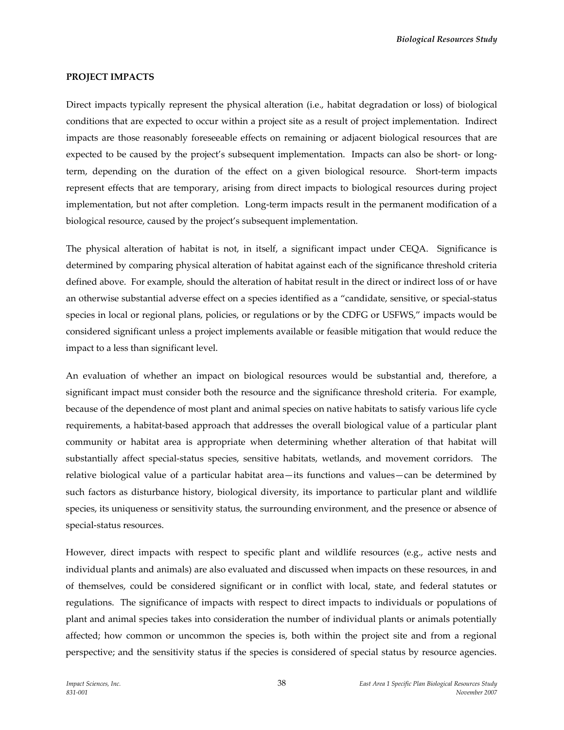#### **PROJECT IMPACTS**

Direct impacts typically represent the physical alteration (i.e., habitat degradation or loss) of biological conditions that are expected to occur within a project site as a result of project implementation. Indirect impacts are those reasonably foreseeable effects on remaining or adjacent biological resources that are expected to be caused by the project's subsequent implementation. Impacts can also be short- or longterm, depending on the duration of the effect on a given biological resource. Short-term impacts represent effects that are temporary, arising from direct impacts to biological resources during project implementation, but not after completion. Long-term impacts result in the permanent modification of a biological resource, caused by the project's subsequent implementation.

The physical alteration of habitat is not, in itself, a significant impact under CEQA. Significance is determined by comparing physical alteration of habitat against each of the significance threshold criteria defined above. For example, should the alteration of habitat result in the direct or indirect loss of or have an otherwise substantial adverse effect on a species identified as a "candidate, sensitive, or special‐status species in local or regional plans, policies, or regulations or by the CDFG or USFWS," impacts would be considered significant unless a project implements available or feasible mitigation that would reduce the impact to a less than significant level.

An evaluation of whether an impact on biological resources would be substantial and, therefore, a significant impact must consider both the resource and the significance threshold criteria. For example, because of the dependence of most plant and animal species on native habitats to satisfy various life cycle requirements, a habitat-based approach that addresses the overall biological value of a particular plant community or habitat area is appropriate when determining whether alteration of that habitat will substantially affect special-status species, sensitive habitats, wetlands, and movement corridors. The relative biological value of a particular habitat area—its functions and values—can be determined by such factors as disturbance history, biological diversity, its importance to particular plant and wildlife species, its uniqueness or sensitivity status, the surrounding environment, and the presence or absence of special‐status resources.

However, direct impacts with respect to specific plant and wildlife resources (e.g., active nests and individual plants and animals) are also evaluated and discussed when impacts on these resources, in and of themselves, could be considered significant or in conflict with local, state, and federal statutes or regulations. The significance of impacts with respect to direct impacts to individuals or populations of plant and animal species takes into consideration the number of individual plants or animals potentially affected; how common or uncommon the species is, both within the project site and from a regional perspective; and the sensitivity status if the species is considered of special status by resource agencies.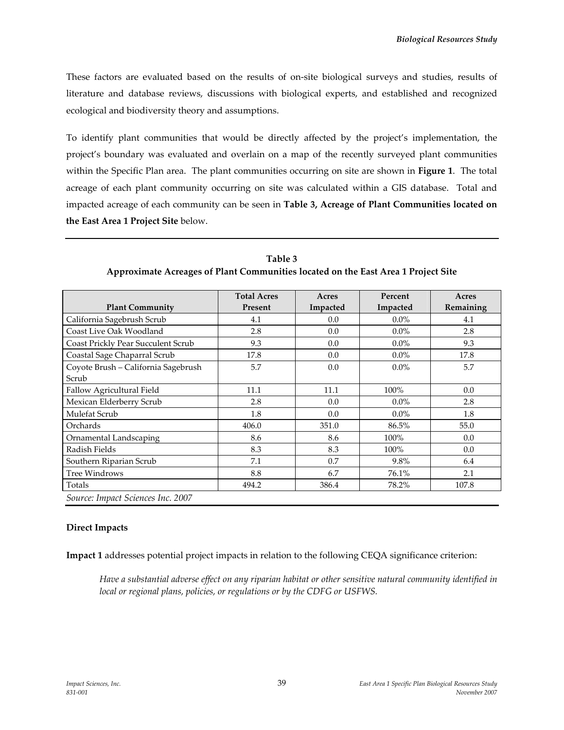These factors are evaluated based on the results of on‐site biological surveys and studies, results of literature and database reviews, discussions with biological experts, and established and recognized ecological and biodiversity theory and assumptions.

To identify plant communities that would be directly affected by the project's implementation, the project's boundary was evaluated and overlain on a map of the recently surveyed plant communities within the Specific Plan area. The plant communities occurring on site are shown in **Figure 1**. The total acreage of each plant community occurring on site was calculated within a GIS database. Total and impacted acreage of each community can be seen in **Table 3, Acreage of Plant Communities located on the East Area 1 Project Site** below.

**Table 3 Approximate Acreages of Plant Communities located on the East Area 1 Project Site**

|                                     | <b>Total Acres</b> | Acres    | Percent  | Acres     |
|-------------------------------------|--------------------|----------|----------|-----------|
| <b>Plant Community</b>              | Present            | Impacted | Impacted | Remaining |
| California Sagebrush Scrub          | 4.1                | 0.0      | $0.0\%$  | 4.1       |
| Coast Live Oak Woodland             | 2.8                | 0.0      | $0.0\%$  | 2.8       |
| Coast Prickly Pear Succulent Scrub  | 9.3                | 0.0      | $0.0\%$  | 9.3       |
| Coastal Sage Chaparral Scrub        | 17.8               | 0.0      | $0.0\%$  | 17.8      |
| Coyote Brush - California Sagebrush | 5.7                | 0.0      | $0.0\%$  | 5.7       |
| Scrub                               |                    |          |          |           |
| Fallow Agricultural Field           | 11.1               | 11.1     | 100%     | 0.0       |
| Mexican Elderberry Scrub            | 2.8                | 0.0      | $0.0\%$  | 2.8       |
| Mulefat Scrub                       | 1.8                | 0.0      | $0.0\%$  | 1.8       |
| Orchards                            | 406.0              | 351.0    | 86.5%    | 55.0      |
| Ornamental Landscaping              | 8.6                | 8.6      | 100%     | 0.0       |
| Radish Fields                       | 8.3                | 8.3      | 100%     | 0.0       |
| Southern Riparian Scrub             | 7.1                | 0.7      | 9.8%     | 6.4       |
| <b>Tree Windrows</b>                | 8.8                | 6.7      | 76.1%    | 2.1       |
| Totals                              | 494.2              | 386.4    | 78.2%    | 107.8     |
| Source: Impact Sciences Inc. 2007   |                    |          |          |           |

### **Direct Impacts**

**Impact 1** addresses potential project impacts in relation to the following CEQA significance criterion:

*Have a substantial adverse effect on any riparian habitat or other sensitive natural community identified in local or regional plans, policies, or regulations or by the CDFG or USFWS.*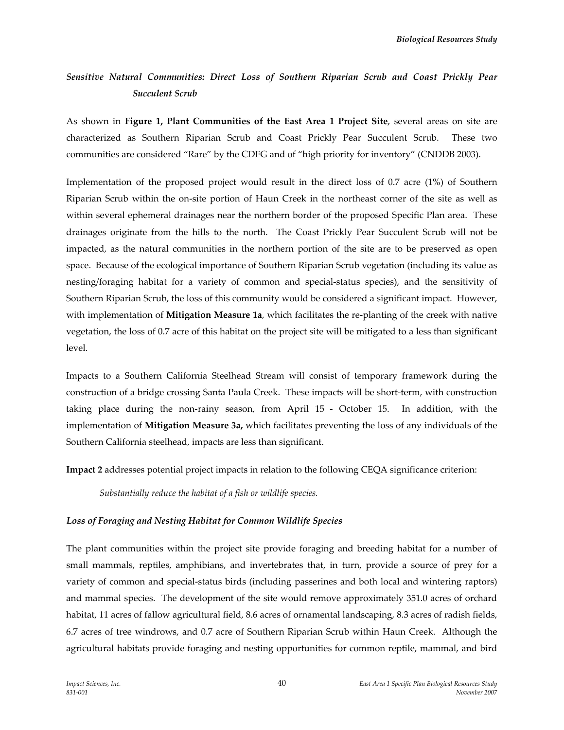# *Sensitive Natural Communities: Direct Loss of Southern Riparian Scrub and Coast Prickly Pear Succulent Scrub*

As shown in **Figure 1, Plant Communities of the East Area 1 Project Site**, several areas on site are characterized as Southern Riparian Scrub and Coast Prickly Pear Succulent Scrub. These two communities are considered "Rare" by the CDFG and of "high priority for inventory" (CNDDB 2003).

Implementation of the proposed project would result in the direct loss of 0.7 acre (1%) of Southern Riparian Scrub within the on‐site portion of Haun Creek in the northeast corner of the site as well as within several ephemeral drainages near the northern border of the proposed Specific Plan area. These drainages originate from the hills to the north. The Coast Prickly Pear Succulent Scrub will not be impacted, as the natural communities in the northern portion of the site are to be preserved as open space. Because of the ecological importance of Southern Riparian Scrub vegetation (including its value as nesting/foraging habitat for a variety of common and special‐status species), and the sensitivity of Southern Riparian Scrub, the loss of this community would be considered a significant impact. However, with implementation of **Mitigation Measure 1a**, which facilitates the re‐planting of the creek with native vegetation, the loss of 0.7 acre of this habitat on the project site will be mitigated to a less than significant level.

Impacts to a Southern California Steelhead Stream will consist of temporary framework during the construction of a bridge crossing Santa Paula Creek. These impacts will be short‐term, with construction taking place during the non-rainy season, from April 15 - October 15. In addition, with the implementation of **Mitigation Measure 3a,** which facilitates preventing the loss of any individuals of the Southern California steelhead, impacts are less than significant.

**Impact 2** addresses potential project impacts in relation to the following CEQA significance criterion:

*Substantially reduce the habitat of a fish or wildlife species.*

### *Loss of Foraging and Nesting Habitat for Common Wildlife Species*

The plant communities within the project site provide foraging and breeding habitat for a number of small mammals, reptiles, amphibians, and invertebrates that, in turn, provide a source of prey for a variety of common and special‐status birds (including passerines and both local and wintering raptors) and mammal species. The development of the site would remove approximately 351.0 acres of orchard habitat, 11 acres of fallow agricultural field, 8.6 acres of ornamental landscaping, 8.3 acres of radish fields, 6.7 acres of tree windrows, and 0.7 acre of Southern Riparian Scrub within Haun Creek. Although the agricultural habitats provide foraging and nesting opportunities for common reptile, mammal, and bird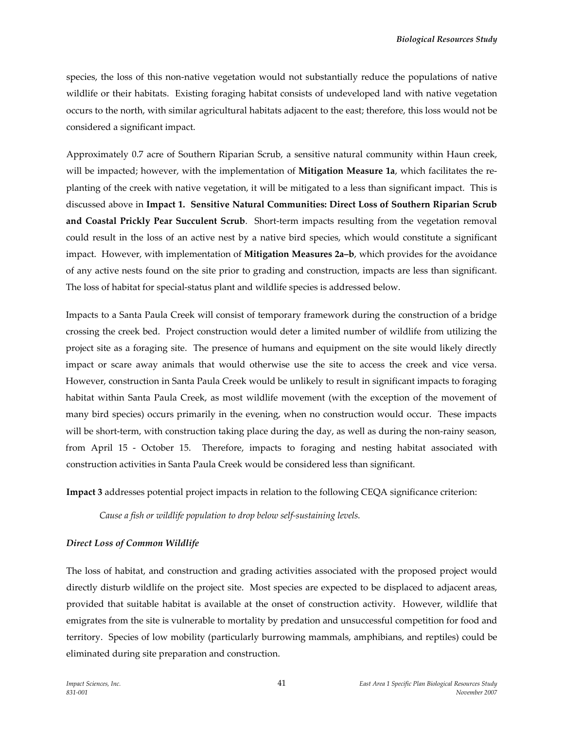species, the loss of this non-native vegetation would not substantially reduce the populations of native wildlife or their habitats. Existing foraging habitat consists of undeveloped land with native vegetation occurs to the north, with similar agricultural habitats adjacent to the east; therefore, this loss would not be considered a significant impact.

Approximately 0.7 acre of Southern Riparian Scrub, a sensitive natural community within Haun creek, will be impacted; however, with the implementation of **Mitigation Measure 1a**, which facilitates the re‐ planting of the creek with native vegetation, it will be mitigated to a less than significant impact. This is discussed above in **Impact 1. Sensitive Natural Communities: Direct Loss of Southern Riparian Scrub and Coastal Prickly Pear Succulent Scrub**. Short‐term impacts resulting from the vegetation removal could result in the loss of an active nest by a native bird species, which would constitute a significant impact. However, with implementation of **Mitigation Measures 2a–b**, which provides for the avoidance of any active nests found on the site prior to grading and construction, impacts are less than significant. The loss of habitat for special-status plant and wildlife species is addressed below.

Impacts to a Santa Paula Creek will consist of temporary framework during the construction of a bridge crossing the creek bed. Project construction would deter a limited number of wildlife from utilizing the project site as a foraging site. The presence of humans and equipment on the site would likely directly impact or scare away animals that would otherwise use the site to access the creek and vice versa. However, construction in Santa Paula Creek would be unlikely to result in significant impacts to foraging habitat within Santa Paula Creek, as most wildlife movement (with the exception of the movement of many bird species) occurs primarily in the evening, when no construction would occur. These impacts will be short-term, with construction taking place during the day, as well as during the non-rainy season, from April 15 - October 15. Therefore, impacts to foraging and nesting habitat associated with construction activities in Santa Paula Creek would be considered less than significant.

**Impact 3** addresses potential project impacts in relation to the following CEQA significance criterion:

*Cause a fish or wildlife population to drop below self‐sustaining levels.*

### *Direct Loss of Common Wildlife*

The loss of habitat, and construction and grading activities associated with the proposed project would directly disturb wildlife on the project site. Most species are expected to be displaced to adjacent areas, provided that suitable habitat is available at the onset of construction activity. However, wildlife that emigrates from the site is vulnerable to mortality by predation and unsuccessful competition for food and territory. Species of low mobility (particularly burrowing mammals, amphibians, and reptiles) could be eliminated during site preparation and construction.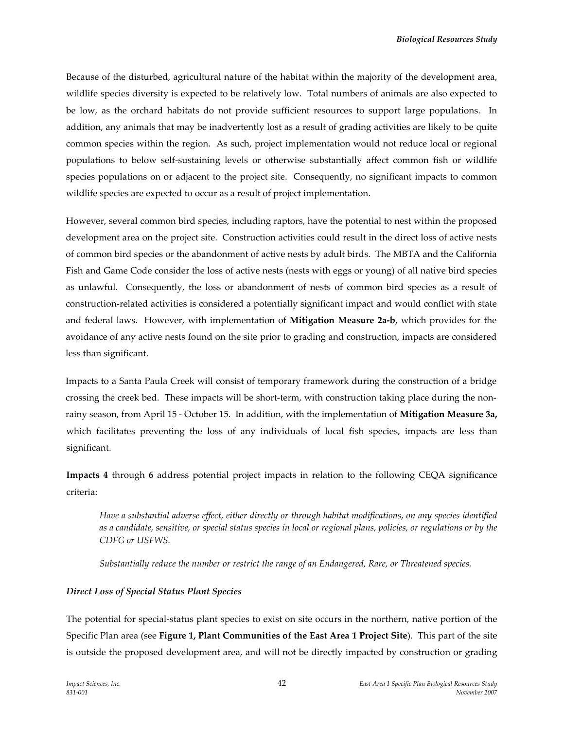Because of the disturbed, agricultural nature of the habitat within the majority of the development area, wildlife species diversity is expected to be relatively low. Total numbers of animals are also expected to be low, as the orchard habitats do not provide sufficient resources to support large populations. In addition, any animals that may be inadvertently lost as a result of grading activities are likely to be quite common species within the region. As such, project implementation would not reduce local or regional populations to below self‐sustaining levels or otherwise substantially affect common fish or wildlife species populations on or adjacent to the project site. Consequently, no significant impacts to common wildlife species are expected to occur as a result of project implementation.

However, several common bird species, including raptors, have the potential to nest within the proposed development area on the project site. Construction activities could result in the direct loss of active nests of common bird species or the abandonment of active nests by adult birds. The MBTA and the California Fish and Game Code consider the loss of active nests (nests with eggs or young) of all native bird species as unlawful. Consequently, the loss or abandonment of nests of common bird species as a result of construction‐related activities is considered a potentially significant impact and would conflict with state and federal laws. However, with implementation of **Mitigation Measure 2a‐b**, which provides for the avoidance of any active nests found on the site prior to grading and construction, impacts are considered less than significant.

Impacts to a Santa Paula Creek will consist of temporary framework during the construction of a bridge crossing the creek bed. These impacts will be short-term, with construction taking place during the nonrainy season, from April 15 ‐ October 15. In addition, with the implementation of **Mitigation Measure 3a,** which facilitates preventing the loss of any individuals of local fish species, impacts are less than significant.

**Impacts 4** through **6** address potential project impacts in relation to the following CEQA significance criteria:

*Have a substantial adverse effect, either directly or through habitat modifications, on any species identified* as a candidate, sensitive, or special status species in local or regional plans, policies, or regulations or by the *CDFG or USFWS.*

*Substantially reduce the number or restrict the range of an Endangered, Rare, or Threatened species.*

# *Direct Loss of Special Status Plant Species*

The potential for special‐status plant species to exist on site occurs in the northern, native portion of the Specific Plan area (see **Figure 1, Plant Communities of the East Area 1 Project Site**). This part of the site is outside the proposed development area, and will not be directly impacted by construction or grading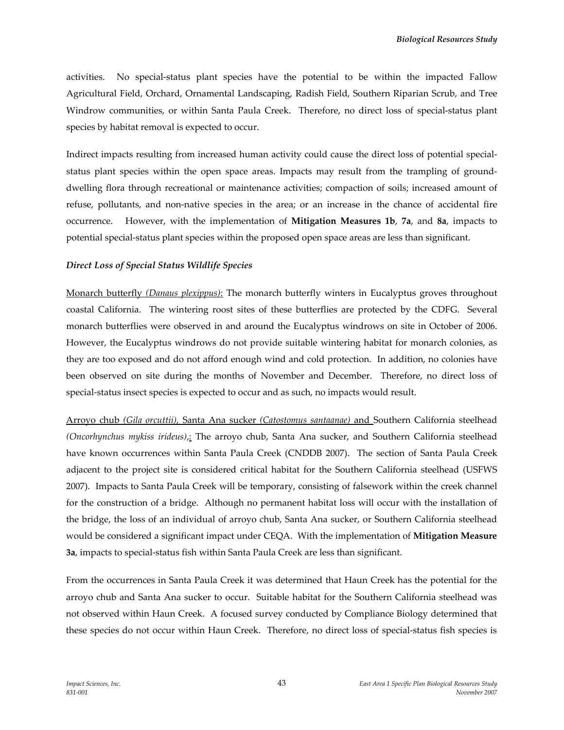activities. No special-status plant species have the potential to be within the impacted Fallow Agricultural Field, Orchard, Ornamental Landscaping, Radish Field, Southern Riparian Scrub, and Tree Windrow communities, or within Santa Paula Creek. Therefore, no direct loss of special-status plant species by habitat removal is expected to occur.

Indirect impacts resulting from increased human activity could cause the direct loss of potential special‐ status plant species within the open space areas. Impacts may result from the trampling of grounddwelling flora through recreational or maintenance activities; compaction of soils; increased amount of refuse, pollutants, and non‐native species in the area; or an increase in the chance of accidental fire occurrence. However, with the implementation of **Mitigation Measures 1b**, **7a**, and **8a**, impacts to potential special‐status plant species within the proposed open space areas are less than significant.

#### *Direct Loss of Special Status Wildlife Species*

Monarch butterfly *(Danaus plexippus)*: The monarch butterfly winters in Eucalyptus groves throughout coastal California. The wintering roost sites of these butterflies are protected by the CDFG. Several monarch butterflies were observed in and around the Eucalyptus windrows on site in October of 2006. However, the Eucalyptus windrows do not provide suitable wintering habitat for monarch colonies, as they are too exposed and do not afford enough wind and cold protection. In addition, no colonies have been observed on site during the months of November and December. Therefore, no direct loss of special-status insect species is expected to occur and as such, no impacts would result.

Arroyo chub *(Gila orcuttii),* Santa Ana sucker *(Catostomus santaanae)* and Southern California steelhead *(Oncorhynchus mykiss irideus)*,: The arroyo chub, Santa Ana sucker, and Southern California steelhead have known occurrences within Santa Paula Creek (CNDDB 2007). The section of Santa Paula Creek adjacent to the project site is considered critical habitat for the Southern California steelhead (USFWS 2007). Impacts to Santa Paula Creek will be temporary, consisting of falsework within the creek channel for the construction of a bridge. Although no permanent habitat loss will occur with the installation of the bridge, the loss of an individual of arroyo chub, Santa Ana sucker, or Southern California steelhead would be considered a significant impact under CEQA. With the implementation of **Mitigation Measure 3a**, impacts to special‐status fish within Santa Paula Creek are less than significant.

From the occurrences in Santa Paula Creek it was determined that Haun Creek has the potential for the arroyo chub and Santa Ana sucker to occur. Suitable habitat for the Southern California steelhead was not observed within Haun Creek. A focused survey conducted by Compliance Biology determined that these species do not occur within Haun Creek. Therefore, no direct loss of special‐status fish species is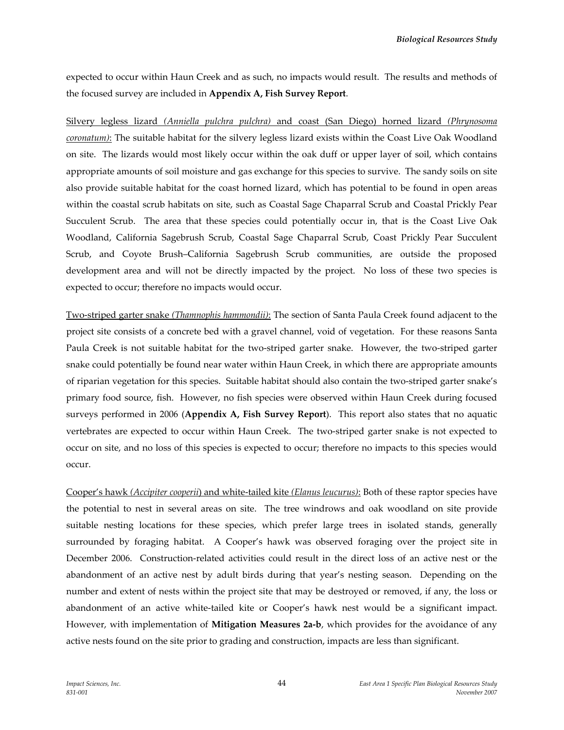expected to occur within Haun Creek and as such, no impacts would result. The results and methods of the focused survey are included in **Appendix A, Fish Survey Report**.

Silvery legless lizard *(Anniella pulchra pulchra)* and coast (San Diego) horned lizard *(Phrynosoma coronatum)*: The suitable habitat for the silvery legless lizard exists within the Coast Live Oak Woodland on site. The lizards would most likely occur within the oak duff or upper layer of soil, which contains appropriate amounts of soil moisture and gas exchange for this species to survive. The sandy soils on site also provide suitable habitat for the coast horned lizard, which has potential to be found in open areas within the coastal scrub habitats on site, such as Coastal Sage Chaparral Scrub and Coastal Prickly Pear Succulent Scrub. The area that these species could potentially occur in, that is the Coast Live Oak Woodland, California Sagebrush Scrub, Coastal Sage Chaparral Scrub, Coast Prickly Pear Succulent Scrub, and Coyote Brush–California Sagebrush Scrub communities, are outside the proposed development area and will not be directly impacted by the project. No loss of these two species is expected to occur; therefore no impacts would occur.

Two‐striped garter snake *(Thamnophis hammondii)*: The section of Santa Paula Creek found adjacent to the project site consists of a concrete bed with a gravel channel, void of vegetation. For these reasons Santa Paula Creek is not suitable habitat for the two-striped garter snake. However, the two-striped garter snake could potentially be found near water within Haun Creek, in which there are appropriate amounts of riparian vegetation for this species. Suitable habitat should also contain the two‐striped garter snake's primary food source, fish. However, no fish species were observed within Haun Creek during focused surveys performed in 2006 (**Appendix A, Fish Survey Report**). This report also states that no aquatic vertebrates are expected to occur within Haun Creek. The two‐striped garter snake is not expected to occur on site, and no loss of this species is expected to occur; therefore no impacts to this species would occur.

Cooper's hawk *(Accipiter cooperii*) and white‐tailed kite *(Elanus leucurus)*: Both of these raptor species have the potential to nest in several areas on site. The tree windrows and oak woodland on site provide suitable nesting locations for these species, which prefer large trees in isolated stands, generally surrounded by foraging habitat. A Cooper's hawk was observed foraging over the project site in December 2006. Construction-related activities could result in the direct loss of an active nest or the abandonment of an active nest by adult birds during that year's nesting season. Depending on the number and extent of nests within the project site that may be destroyed or removed, if any, the loss or abandonment of an active white‐tailed kite or Cooper's hawk nest would be a significant impact. However, with implementation of **Mitigation Measures 2a‐b**, which provides for the avoidance of any active nests found on the site prior to grading and construction, impacts are less than significant.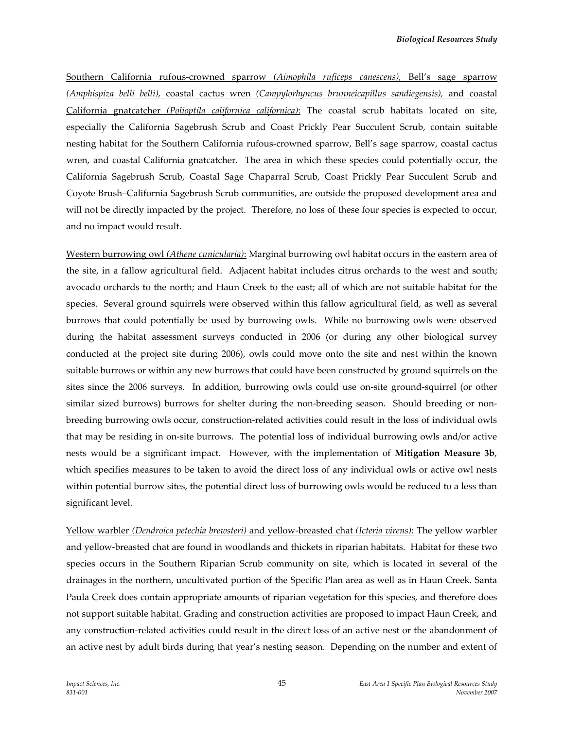Southern California rufous‐crowned sparrow *(Aimophila ruficeps canescens),* Bell's sage sparrow *(Amphispiza belli belli),* coastal cactus wren *(Campylorhyncus brunneicapillus sandiegensis),* and coastal California gnatcatcher *(Polioptila californica californica)*: The coastal scrub habitats located on site, especially the California Sagebrush Scrub and Coast Prickly Pear Succulent Scrub, contain suitable nesting habitat for the Southern California rufous‐crowned sparrow, Bell's sage sparrow, coastal cactus wren, and coastal California gnatcatcher. The area in which these species could potentially occur, the California Sagebrush Scrub, Coastal Sage Chaparral Scrub, Coast Prickly Pear Succulent Scrub and Coyote Brush–California Sagebrush Scrub communities, are outside the proposed development area and will not be directly impacted by the project. Therefore, no loss of these four species is expected to occur, and no impact would result.

Western burrowing owl *(Athene cunicularia)*: Marginal burrowing owl habitat occurs in the eastern area of the site, in a fallow agricultural field. Adjacent habitat includes citrus orchards to the west and south; avocado orchards to the north; and Haun Creek to the east; all of which are not suitable habitat for the species. Several ground squirrels were observed within this fallow agricultural field, as well as several burrows that could potentially be used by burrowing owls. While no burrowing owls were observed during the habitat assessment surveys conducted in 2006 (or during any other biological survey conducted at the project site during 2006), owls could move onto the site and nest within the known suitable burrows or within any new burrows that could have been constructed by ground squirrels on the sites since the 2006 surveys. In addition, burrowing owls could use on-site ground-squirrel (or other similar sized burrows) burrows for shelter during the non-breeding season. Should breeding or nonbreeding burrowing owls occur, construction‐related activities could result in the loss of individual owls that may be residing in on‐site burrows. The potential loss of individual burrowing owls and/or active nests would be a significant impact. However, with the implementation of **Mitigation Measure 3b**, which specifies measures to be taken to avoid the direct loss of any individual owls or active owl nests within potential burrow sites, the potential direct loss of burrowing owls would be reduced to a less than significant level.

Yellow warbler *(Dendroica petechia brewsteri)* and yellow‐breasted chat *(Icteria virens)*: The yellow warbler and yellow‐breasted chat are found in woodlands and thickets in riparian habitats. Habitat for these two species occurs in the Southern Riparian Scrub community on site, which is located in several of the drainages in the northern, uncultivated portion of the Specific Plan area as well as in Haun Creek. Santa Paula Creek does contain appropriate amounts of riparian vegetation for this species, and therefore does not support suitable habitat. Grading and construction activities are proposed to impact Haun Creek, and any construction‐related activities could result in the direct loss of an active nest or the abandonment of an active nest by adult birds during that year's nesting season. Depending on the number and extent of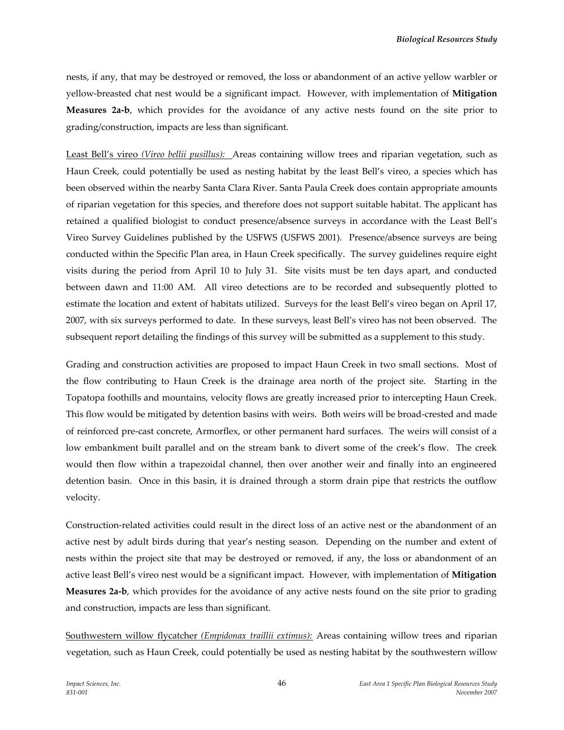nests, if any, that may be destroyed or removed, the loss or abandonment of an active yellow warbler or yellow‐breasted chat nest would be a significant impact. However, with implementation of **Mitigation Measures 2a‐b**, which provides for the avoidance of any active nests found on the site prior to grading/construction, impacts are less than significant.

Least Bell's vireo *(Vireo bellii pusillus)*: Areas containing willow trees and riparian vegetation, such as Haun Creek, could potentially be used as nesting habitat by the least Bell's vireo, a species which has been observed within the nearby Santa Clara River. Santa Paula Creek does contain appropriate amounts of riparian vegetation for this species, and therefore does not support suitable habitat. The applicant has retained a qualified biologist to conduct presence/absence surveys in accordance with the Least Bell's Vireo Survey Guidelines published by the USFWS (USFWS 2001). Presence/absence surveys are being conducted within the Specific Plan area, in Haun Creek specifically. The survey guidelines require eight visits during the period from April 10 to July 31. Site visits must be ten days apart, and conducted between dawn and 11:00 AM. All vireo detections are to be recorded and subsequently plotted to estimate the location and extent of habitats utilized. Surveys for the least Bell's vireo began on April 17, 2007, with six surveys performed to date. In these surveys, least Bell's vireo has not been observed. The subsequent report detailing the findings of this survey will be submitted as a supplement to this study.

Grading and construction activities are proposed to impact Haun Creek in two small sections. Most of the flow contributing to Haun Creek is the drainage area north of the project site. Starting in the Topatopa foothills and mountains, velocity flows are greatly increased prior to intercepting Haun Creek. This flow would be mitigated by detention basins with weirs. Both weirs will be broad‐crested and made of reinforced pre‐cast concrete, Armorflex, or other permanent hard surfaces. The weirs will consist of a low embankment built parallel and on the stream bank to divert some of the creek's flow. The creek would then flow within a trapezoidal channel, then over another weir and finally into an engineered detention basin. Once in this basin, it is drained through a storm drain pipe that restricts the outflow velocity.

Construction‐related activities could result in the direct loss of an active nest or the abandonment of an active nest by adult birds during that year's nesting season. Depending on the number and extent of nests within the project site that may be destroyed or removed, if any, the loss or abandonment of an active least Bell's vireo nest would be a significant impact. However, with implementation of **Mitigation Measures 2a‐b**, which provides for the avoidance of any active nests found on the site prior to grading and construction, impacts are less than significant.

Southwestern willow flycatcher *(Empidonax traillii extimus):* Areas containing willow trees and riparian vegetation, such as Haun Creek, could potentially be used as nesting habitat by the southwestern willow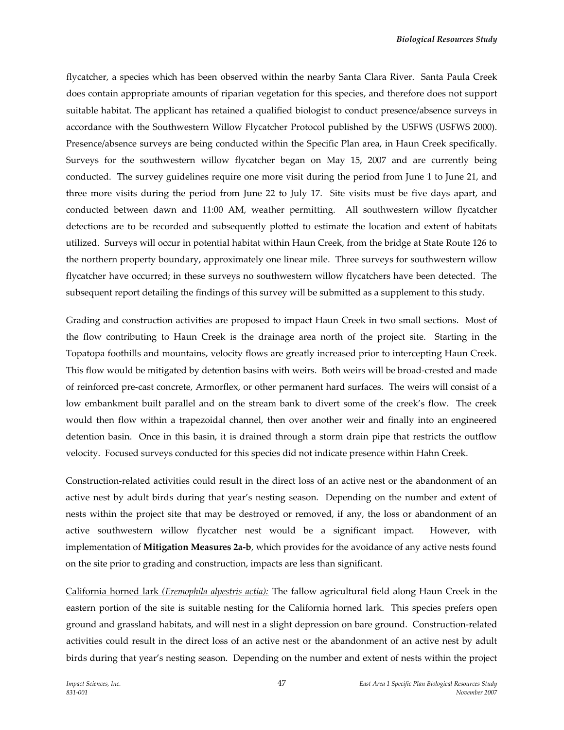flycatcher, a species which has been observed within the nearby Santa Clara River. Santa Paula Creek does contain appropriate amounts of riparian vegetation for this species, and therefore does not support suitable habitat. The applicant has retained a qualified biologist to conduct presence/absence surveys in accordance with the Southwestern Willow Flycatcher Protocol published by the USFWS (USFWS 2000). Presence/absence surveys are being conducted within the Specific Plan area, in Haun Creek specifically. Surveys for the southwestern willow flycatcher began on May 15, 2007 and are currently being conducted. The survey guidelines require one more visit during the period from June 1 to June 21, and three more visits during the period from June 22 to July 17. Site visits must be five days apart, and conducted between dawn and 11:00 AM, weather permitting. All southwestern willow flycatcher detections are to be recorded and subsequently plotted to estimate the location and extent of habitats utilized. Surveys will occur in potential habitat within Haun Creek, from the bridge at State Route 126 to the northern property boundary, approximately one linear mile. Three surveys for southwestern willow flycatcher have occurred; in these surveys no southwestern willow flycatchers have been detected. The subsequent report detailing the findings of this survey will be submitted as a supplement to this study.

Grading and construction activities are proposed to impact Haun Creek in two small sections. Most of the flow contributing to Haun Creek is the drainage area north of the project site. Starting in the Topatopa foothills and mountains, velocity flows are greatly increased prior to intercepting Haun Creek. This flow would be mitigated by detention basins with weirs. Both weirs will be broad‐crested and made of reinforced pre‐cast concrete, Armorflex, or other permanent hard surfaces. The weirs will consist of a low embankment built parallel and on the stream bank to divert some of the creek's flow. The creek would then flow within a trapezoidal channel, then over another weir and finally into an engineered detention basin. Once in this basin, it is drained through a storm drain pipe that restricts the outflow velocity. Focused surveys conducted for this species did not indicate presence within Hahn Creek.

Construction‐related activities could result in the direct loss of an active nest or the abandonment of an active nest by adult birds during that year's nesting season. Depending on the number and extent of nests within the project site that may be destroyed or removed, if any, the loss or abandonment of an active southwestern willow flycatcher nest would be a significant impact. However, with implementation of **Mitigation Measures 2a‐b**, which provides for the avoidance of any active nests found on the site prior to grading and construction, impacts are less than significant.

California horned lark *(Eremophila alpestris actia):* The fallow agricultural field along Haun Creek in the eastern portion of the site is suitable nesting for the California horned lark. This species prefers open ground and grassland habitats, and will nest in a slight depression on bare ground. Construction‐related activities could result in the direct loss of an active nest or the abandonment of an active nest by adult birds during that year's nesting season. Depending on the number and extent of nests within the project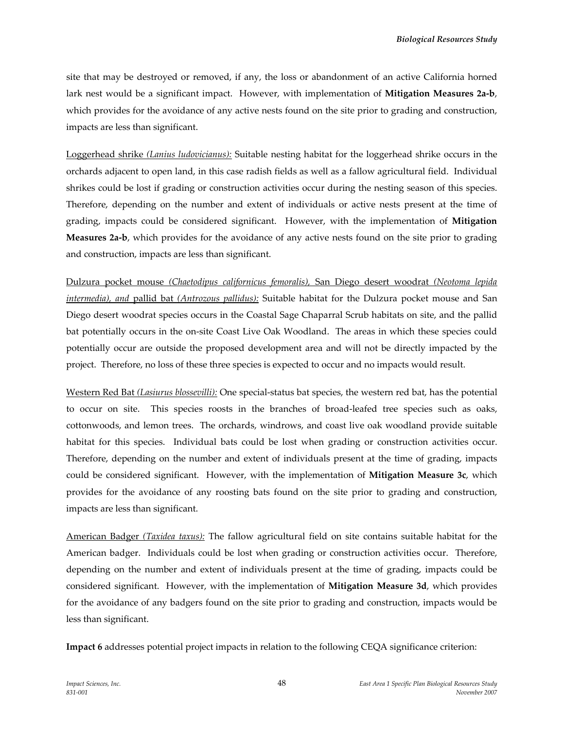site that may be destroyed or removed, if any, the loss or abandonment of an active California horned lark nest would be a significant impact. However, with implementation of **Mitigation Measures 2a‐b**, which provides for the avoidance of any active nests found on the site prior to grading and construction, impacts are less than significant.

Loggerhead shrike *(Lanius ludovicianus):* Suitable nesting habitat for the loggerhead shrike occurs in the orchards adjacent to open land, in this case radish fields as well as a fallow agricultural field. Individual shrikes could be lost if grading or construction activities occur during the nesting season of this species. Therefore, depending on the number and extent of individuals or active nests present at the time of grading, impacts could be considered significant. However, with the implementation of **Mitigation Measures 2a‐b**, which provides for the avoidance of any active nests found on the site prior to grading and construction, impacts are less than significant.

Dulzura pocket mouse *(Chaetodipus californicus femoralis),* San Diego desert woodrat *(Neotoma lepida intermedia), and* pallid bat *(Antrozous pallidus):* Suitable habitat for the Dulzura pocket mouse and San Diego desert woodrat species occurs in the Coastal Sage Chaparral Scrub habitats on site, and the pallid bat potentially occurs in the on‐site Coast Live Oak Woodland. The areas in which these species could potentially occur are outside the proposed development area and will not be directly impacted by the project. Therefore, no loss of these three species is expected to occur and no impacts would result.

Western Red Bat *(Lasiurus blossevilli):* One special‐status bat species, the western red bat, has the potential to occur on site. This species roosts in the branches of broad-leafed tree species such as oaks, cottonwoods, and lemon trees. The orchards, windrows, and coast live oak woodland provide suitable habitat for this species. Individual bats could be lost when grading or construction activities occur. Therefore, depending on the number and extent of individuals present at the time of grading, impacts could be considered significant. However, with the implementation of **Mitigation Measure 3c**, which provides for the avoidance of any roosting bats found on the site prior to grading and construction, impacts are less than significant.

American Badger *(Taxidea taxus):* The fallow agricultural field on site contains suitable habitat for the American badger. Individuals could be lost when grading or construction activities occur. Therefore, depending on the number and extent of individuals present at the time of grading, impacts could be considered significant. However, with the implementation of **Mitigation Measure 3d**, which provides for the avoidance of any badgers found on the site prior to grading and construction, impacts would be less than significant.

**Impact 6** addresses potential project impacts in relation to the following CEQA significance criterion: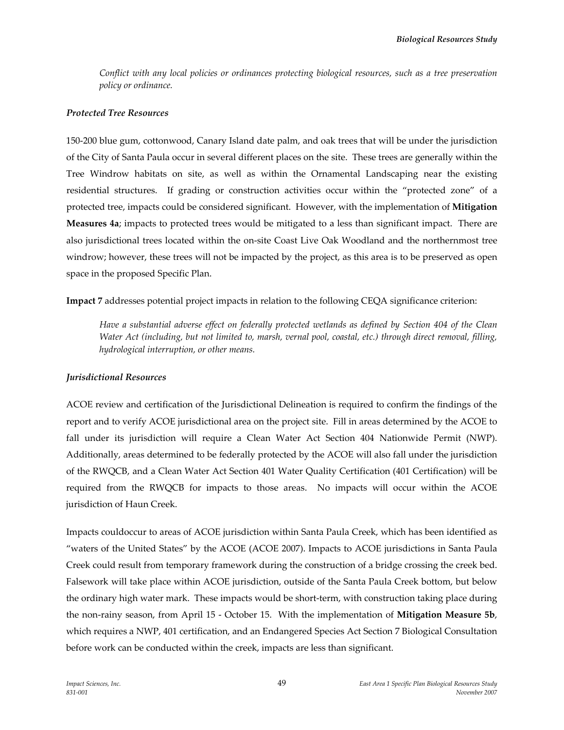*Conflict with any local policies or ordinances protecting biological resources, such as a tree preservation policy or ordinance.*

### *Protected Tree Resources*

150‐200 blue gum, cottonwood, Canary Island date palm, and oak trees that will be under the jurisdiction of the City of Santa Paula occur in several different places on the site. These trees are generally within the Tree Windrow habitats on site, as well as within the Ornamental Landscaping near the existing residential structures. If grading or construction activities occur within the "protected zone" of a protected tree, impacts could be considered significant. However, with the implementation of **Mitigation Measures 4a**; impacts to protected trees would be mitigated to a less than significant impact. There are also jurisdictional trees located within the on‐site Coast Live Oak Woodland and the northernmost tree windrow; however, these trees will not be impacted by the project, as this area is to be preserved as open space in the proposed Specific Plan.

**Impact 7** addresses potential project impacts in relation to the following CEQA significance criterion:

*Have a substantial adverse effect on federally protected wetlands as defined by Section 404 of the Clean Water Act (including, but not limited to, marsh, vernal pool, coastal, etc.) through direct removal, filling, hydrological interruption, or other means.*

### *Jurisdictional Resources*

ACOE review and certification of the Jurisdictional Delineation is required to confirm the findings of the report and to verify ACOE jurisdictional area on the project site. Fill in areas determined by the ACOE to fall under its jurisdiction will require a Clean Water Act Section 404 Nationwide Permit (NWP). Additionally, areas determined to be federally protected by the ACOE will also fall under the jurisdiction of the RWQCB, and a Clean Water Act Section 401 Water Quality Certification (401 Certification) will be required from the RWQCB for impacts to those areas. No impacts will occur within the ACOE jurisdiction of Haun Creek.

Impacts couldoccur to areas of ACOE jurisdiction within Santa Paula Creek, which has been identified as "waters of the United States" by the ACOE (ACOE 2007). Impacts to ACOE jurisdictions in Santa Paula Creek could result from temporary framework during the construction of a bridge crossing the creek bed. Falsework will take place within ACOE jurisdiction, outside of the Santa Paula Creek bottom, but below the ordinary high water mark. These impacts would be short-term, with construction taking place during the non‐rainy season, from April 15 ‐ October 15. With the implementation of **Mitigation Measure 5b**, which requires a NWP, 401 certification, and an Endangered Species Act Section 7 Biological Consultation before work can be conducted within the creek, impacts are less than significant.